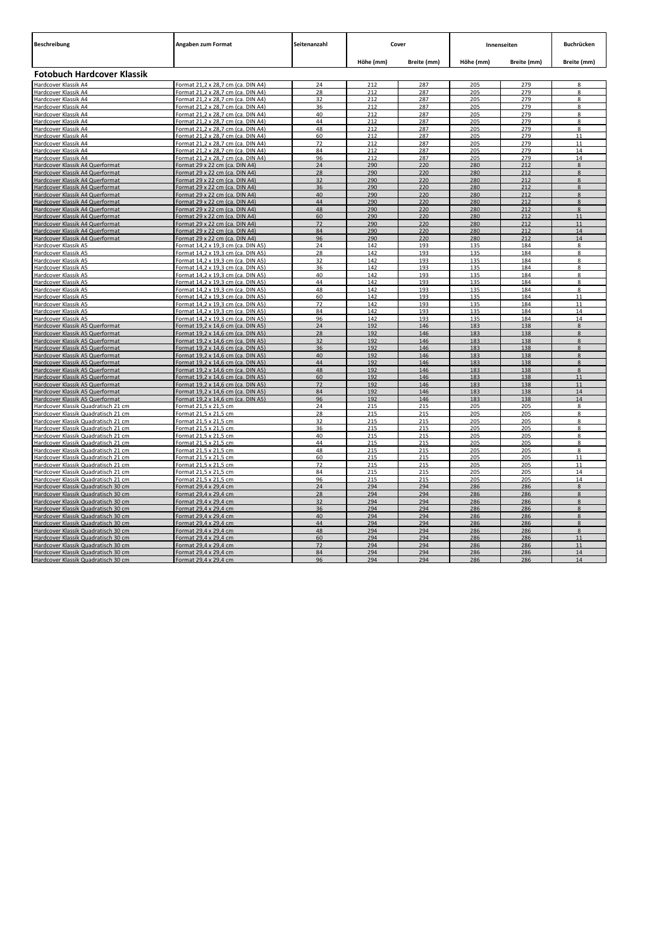| <b>Beschreibung</b>                                                        | Angaben zum Format                                                       | Seitenanzahl | Cover      |             | Innenseiten |             | Buchrücken    |
|----------------------------------------------------------------------------|--------------------------------------------------------------------------|--------------|------------|-------------|-------------|-------------|---------------|
|                                                                            |                                                                          |              | Höhe (mm)  | Breite (mm) | Höhe (mm)   | Breite (mm) | Breite (mm)   |
| Fotobuch Hardcover Klassik                                                 |                                                                          |              |            |             |             |             |               |
| Hardcover Klassik A4                                                       | Format 21,2 x 28,7 cm (ca. DIN A4)                                       | 24           | 212        | 287         | 205         | 279         | $\mathbf{Q}$  |
| Hardcover Klassik A4                                                       | Format 21,2 x 28,7 cm (ca. DIN A4)                                       | 28           | 212        | 287         | 205         | 279         | 8             |
| Hardcover Klassik A4                                                       | Format 21,2 x 28,7 cm (ca. DIN A4)                                       | 32           | 212        | 287         | 205         | 279         | 8             |
| Hardcover Klassik A4                                                       | Format 21,2 x 28,7 cm (ca. DIN A4)                                       | 36           | 212        | 287         | 205         | 279         | R             |
| Hardcover Klassik A4                                                       | Format 21,2 x 28,7 cm (ca. DIN A4)                                       | 40           | 212        | 287         | 205         | 279         | $\mathbf{R}$  |
| Hardcover Klassik A4                                                       | Format 21,2 x 28,7 cm (ca. DIN A4)                                       | 44           | 212        | 287         | 205         | 279         | 8             |
| Hardcover Klassik A4                                                       | Format 21,2 x 28,7 cm (ca. DIN A4)                                       | 48           | 212        | 287         | 205         | 279         | $\mathbf{R}$  |
| Hardcover Klassik A4                                                       | Format 21,2 x 28,7 cm (ca. DIN A4)                                       | 60<br>72     | 212<br>212 | 287<br>287  | 205<br>205  | 279<br>279  | 11<br>11      |
| Hardcover Klassik A4<br>Hardcover Klassik A4                               | Format 21,2 x 28,7 cm (ca. DIN A4)<br>Format 21,2 x 28,7 cm (ca. DIN A4) | 84           | 212        | 287         | 205         | 279         | 14            |
| Hardcover Klassik A4                                                       | Format 21,2 x 28,7 cm (ca. DIN A4)                                       | 96           | 212        | 287         | 205         | 279         | 14            |
| Hardcover Klassik A4 Querformat                                            | Format 29 x 22 cm (ca. DIN A4)                                           | 24           | 290        | 220         | 280         | 212         | $\mathbf{R}$  |
| Hardcover Klassik A4 Querformat                                            | Format 29 x 22 cm (ca. DIN A4)                                           | 28           | 290        | 220         | 280         | 212         | $\mathbf{R}$  |
| Hardcover Klassik A4 Querformat                                            | Format 29 x 22 cm (ca. DIN A4)                                           | 32           | 290        | 220         | 280         | 212         | 8             |
| Hardcover Klassik A4 Querformat                                            | Format 29 x 22 cm (ca. DIN A4)                                           | 36           | 290        | 220         | 280         | 212         | Я             |
| Hardcover Klassik A4 Querformat                                            | Format 29 x 22 cm (ca. DIN A4)                                           | 40           | 290        | 220         | 280         | 212         | 8             |
| Hardcover Klassik A4 Querformat                                            | Format 29 x 22 cm (ca. DIN A4)                                           | 44           | 290        | 220         | 280         | 212         | 8             |
| Hardcover Klassik A4 Querformat                                            | <u>Format 29 x 22 cm (ca. DIN A4)</u>                                    | 48           | 290        | 220         | 280         | 212         | я             |
| Hardcover Klassik A4 Querformat                                            | Format 29 x 22 cm (ca. DIN A4)                                           | 60           | 290        | 220         | 280         | 212         | 11            |
| Hardcover Klassik A4 Querformat                                            | Format 29 x 22 cm (ca. DIN A4)                                           | 72           | 290        | 220         | 280         | 212         | 11            |
| Hardcover Klassik A4 Querformat                                            | Format 29 x 22 cm (ca. DIN A4)                                           | 84           | 290        | 220         | 280         | 212         | 14            |
| Hardcover Klassik A4 Querformat                                            | Format 29 x 22 cm (ca. DIN A4)                                           | 96           | 290        | 220         | 280         | 212         | 14            |
| Hardcover Klassik A5                                                       | Format 14,2 x 19,3 cm (ca. DIN A5)                                       | 24           | 142        | 193         | 135         | 184         | 8             |
| Hardcover Klassik A5                                                       | Format 14,2 x 19,3 cm (ca. DIN A5)                                       | 28           | 142        | 193         | 135         | 184         | 8             |
| Hardcover Klassik A5                                                       | <u>Format 14,2 x 19,3 cm (ca. DIN A5)</u>                                | 32           | 142        | 193         | 135         | 184         | 8<br>8        |
| Hardcover Klassik A5<br>Hardcover Klassik A5                               | Format 14,2 x 19,3 cm (ca. DIN A5)<br>Format 14,2 x 19,3 cm (ca. DIN A5) | 36<br>40     | 142<br>142 | 193<br>193  | 135<br>135  | 184<br>184  | 8             |
| Hardcover Klassik A5                                                       | Format 14,2 x 19,3 cm (ca. DIN A5)                                       | 44           | 142        | 193         | 135         | 184         | 8             |
| Hardcover Klassik A5                                                       | Format 14.2 x 19.3 cm (ca. DIN A5)                                       | 48           | 142        | 193         | 135         | 184         | 8             |
| Hardcover Klassik A5                                                       | Format 14,2 x 19,3 cm (ca. DIN A5)                                       | 60           | 142        | 193         | 135         | 184         | 11            |
| Hardcover Klassik A5                                                       | Format 14,2 x 19,3 cm (ca. DIN A5)                                       | 72           | 142        | 193         | 135         | 184         | 11            |
| Hardcover Klassik A5                                                       | Format 14,2 x 19,3 cm (ca. DIN A5)                                       | 84           | 142        | 193         | 135         | 184         | 14            |
| Hardcover Klassik A5                                                       | Format 14,2 x 19,3 cm (ca. DIN A5)                                       | 96           | 142        | 193         | 135         | 184         | 14            |
| Hardcover Klassik A5 Querformat                                            | Format 19,2 x 14,6 cm (ca. DIN A5)                                       | 24           | 192        | 146         | 183         | 138         | $\mathbf{8}$  |
| Hardcover Klassik A5 Querformat                                            | Format 19,2 x 14,6 cm (ca. DIN A5)                                       | 28           | 192        | 146         | 183         | 138         | $\mathbf{8}$  |
| Hardcover Klassik A5 Querformat                                            | Format 19,2 x 14,6 cm (ca. DIN A5)                                       | 32           | 192        | 146         | 183         | 138         | $\mathbf{R}$  |
| Hardcover Klassik A5 Querformat                                            | Format 19,2 x 14,6 cm (ca. DIN A5)                                       | 36           | 192        | 146         | 183         | 138         | $\mathbf{R}$  |
| Hardcover Klassik A5 Querformat                                            | Format 19.2 x 14.6 cm (ca. DIN A5)                                       | 40           | 192        | 146         | 183         | 138         | $\mathbf{R}$  |
| Hardcover Klassik A5 Querformat                                            | Format 19.2 x 14.6 cm (ca. DIN A5)                                       | 44           | 192        | 146         | 183         | 138         | 8             |
| Hardcover Klassik A5 Querformat                                            | Format 19,2 x 14,6 cm (ca. DIN A5)                                       | 48           | 192        | 146         | 183         | 138         | 8             |
| Hardcover Klassik A5 Querformat<br>Hardcover Klassik A5 Querformat         | Format 19,2 x 14,6 cm (ca. DIN A5)<br>Format 19,2 x 14,6 cm (ca. DIN A5) | 60<br>72     | 192<br>192 | 146<br>146  | 183<br>183  | 138<br>138  | 11<br>11      |
| Hardcover Klassik A5 Querformat                                            | Format 19,2 x 14,6 cm (ca. DIN A5)                                       | 84           | 192        | 146         | 183         | 138         | 14            |
| Hardcover Klassik A5 Querformat                                            | Format 19,2 x 14,6 cm (ca. DIN A5)                                       | 96           | 192        | 146         | 183         | 138         | 14            |
| Hardcover Klassik Quadratisch 21 cm                                        | Format 21,5 x 21,5 cm                                                    | 24           | 215        | 215         | 205         | 205         | 8             |
| Hardcover Klassik Quadratisch 21 cm                                        | Format 21.5 x 21.5 cm                                                    | 28           | 215        | 215         | 205         | 205         | $\circ$       |
| Hardcover Klassik Quadratisch 21 cm                                        | Format 21,5 x 21,5 cm                                                    | 32           | 215        | 215         | 205         | 205         | 8             |
| Hardcover Klassik Quadratisch 21 cm                                        | Format 21,5 x 21,5 cm                                                    | 36           | 215        | 215         | 205         | 205         | $\mathbf{R}$  |
| Hardcover Klassik Quadratisch 21 cm                                        | Format 21.5 x 21.5 cm                                                    | 40           | 215        | 215         | 205         | 205         | $\mathbf{R}$  |
| Hardcover Klassik Quadratisch 21 cm                                        | Format 21,5 x 21,5 cm                                                    | 44           | 215        | 215         | 205         | 205         | 8             |
| Hardcover Klassik Quadratisch 21 cm                                        | Format 21,5 x 21,5 cm                                                    | 48           | 215        | 215         | 205         | 205         | 8             |
| <u>Hardcover Klassik Quadratisch 21 cm</u>                                 | Format 21,5 x 21,5 cm                                                    | 60           | 215        | 215         | 205         | 205         | 11            |
| Hardcover Klassik Quadratisch 21 cm                                        | Format 21.5 x 21.5 cm                                                    | 72           | 215        | 215         | 205         | 205         | 11            |
| Hardcover Klassik Quadratisch 21 cm                                        | Format 21,5 x 21,5 cm                                                    | 84           | 215        | 215         | 205         | 205         | 14            |
| Hardcover Klassik Quadratisch 21 cm                                        | Format 21,5 x 21,5 cm                                                    | 96           | 215<br>294 | 215<br>294  | 205         | 205         | 14<br>8       |
| Hardcover Klassik Quadratisch 30 cm                                        | Format 29,4 x 29,4 cm                                                    | 24<br>28     | 294        | 294         | 286<br>286  | 286<br>286  | $\mathbf{8}$  |
| Hardcover Klassik Quadratisch 30 cm<br>Hardcover Klassik Quadratisch 30 cm | Format 29,4 x 29,4 cm                                                    | 32           | 294        | 294         | 286         | 286         | $\mathbf{R}$  |
| Hardcover Klassik Quadratisch 30 cm                                        | Format 29,4 x 29,4 cm<br>Format 29,4 x 29,4 cm                           | 36           | 294        | 294         | 286         | 286         | $\mathbf{8}$  |
| Hardcover Klassik Quadratisch 30 cm                                        | Format 29,4 x 29,4 cm                                                    | 40           | 294        | 294         | 286         | 286         | $\mathbf{R}$  |
| Hardcover Klassik Quadratisch 30 cm                                        | Format 29,4 x 29,4 cm                                                    | 44           | 294        | 294         | 286         | 286         | $\mathcal{R}$ |
| Hardcover Klassik Quadratisch 30 cm                                        | Format 29,4 x 29,4 cm                                                    | 48           | 294        | 294         | 286         | 286         | $\mathbf{R}$  |
| Hardcover Klassik Quadratisch 30 cm                                        | Format 29,4 x 29,4 cm                                                    | 60           | 294        | 294         | 286         | 286         | 11            |
| Hardcover Klassik Quadratisch 30 cm                                        | Format 29,4 x 29,4 cm                                                    | 72           | 294        | 294         | 286         | 286         | 11            |
| Hardcover Klassik Quadratisch 30 cm                                        | Format 29,4 x 29,4 cm                                                    | 84           | 294        | 294         | 286         | 286         | 14            |
| Hardcover Klassik Quadratisch 30 cm                                        | Format 29,4 x 29,4 cm                                                    | 96           | 294        | 294         | 286         | 286         | 14            |
|                                                                            |                                                                          |              |            |             |             |             |               |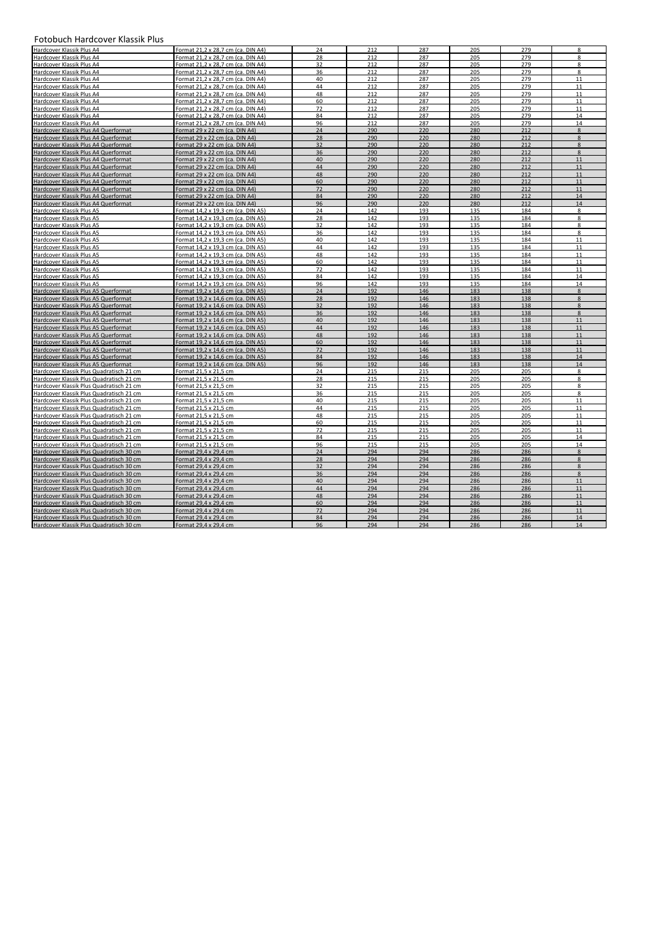## Fotobuch Hardcover Klassik Plus

| FOLODUCII HAFUCOVER NIASSIK PIUS         |                                    |    |     |     |     |     |                  |
|------------------------------------------|------------------------------------|----|-----|-----|-----|-----|------------------|
| Hardcover Klassik Plus A4                | Format 21.2 x 28.7 cm (ca. DIN A4) | 24 | 212 | 287 | 205 | 279 | 8                |
| Hardcover Klassik Plus A4                | Format 21,2 x 28,7 cm (ca. DIN A4) | 28 | 212 | 287 | 205 | 279 | 8                |
| Hardcover Klassik Plus A4                | Format 21,2 x 28,7 cm (ca. DIN A4) | 32 | 212 | 287 | 205 | 279 | 8                |
| Hardcover Klassik Plus A4                | Format 21,2 x 28,7 cm (ca. DIN A4) | 36 | 212 | 287 | 205 | 279 | $\boldsymbol{8}$ |
| Hardcover Klassik Plus A4                | Format 21,2 x 28,7 cm (ca. DIN A4) | 40 | 212 | 287 | 205 | 279 | 11               |
| Hardcover Klassik Plus A4                | Format 21,2 x 28,7 cm (ca. DIN A4) | 44 | 212 | 287 | 205 | 279 | 11               |
| Hardcover Klassik Plus A4                | Format 21,2 x 28,7 cm (ca. DIN A4) | 48 | 212 | 287 | 205 | 279 | 11               |
| Hardcover Klassik Plus A4                | Format 21,2 x 28,7 cm (ca. DIN A4) | 60 | 212 | 287 | 205 | 279 | 11               |
| Hardcover Klassik Plus A4                | Format 21,2 x 28,7 cm (ca. DIN A4) | 72 | 212 | 287 | 205 | 279 | 11               |
| Hardcover Klassik Plus A4                | Format 21.2 x 28.7 cm (ca. DIN A4) | 84 | 212 | 287 | 205 | 279 | 14               |
|                                          |                                    |    | 212 | 287 |     | 279 |                  |
| Hardcover Klassik Plus A4                | Format 21.2 x 28.7 cm (ca. DIN A4) | 96 |     |     | 205 |     | 14               |
| Hardcover Klassik Plus A4 Querformat     | Format 29 x 22 cm (ca. DIN A4)     | 24 | 290 | 220 | 280 | 212 | 8                |
| Hardcover Klassik Plus A4 Querformat     | Format 29 x 22 cm (ca. DIN A4)     | 28 | 290 | 220 | 280 | 212 | 8                |
| Hardcover Klassik Plus A4 Querformat     | Format 29 x 22 cm (ca. DIN A4)     | 32 | 290 | 220 | 280 | 212 | 8                |
| Hardcover Klassik Plus A4 Querformat     | Format 29 x 22 cm (ca. DIN A4)     | 36 | 290 | 220 | 280 | 212 | 8                |
| Hardcover Klassik Plus A4 Querformat     | Format 29 x 22 cm (ca. DIN A4)     | 40 | 290 | 220 | 280 | 212 | 11               |
| Hardcover Klassik Plus A4 Querformat     | Format 29 x 22 cm (ca. DIN A4)     | 44 | 290 | 220 | 280 | 212 | 11               |
| Hardcover Klassik Plus A4 Querformat     | Format 29 x 22 cm (ca. DIN A4)     | 48 | 290 | 220 | 280 | 212 | 11               |
| Hardcover Klassik Plus A4 Querformat     | Format 29 x 22 cm (ca. DIN A4)     | 60 | 290 | 220 | 280 | 212 | 11               |
| Hardcover Klassik Plus A4 Querformat     | Format 29 x 22 cm (ca. DIN A4)     | 72 | 290 | 220 | 280 | 212 | 11               |
| Hardcover Klassik Plus A4 Querformat     | Format 29 x 22 cm (ca. DIN A4)     | 84 | 290 | 220 | 280 | 212 | 14               |
| Hardcover Klassik Plus A4 Querformat     | Format 29 x 22 cm (ca. DIN A4)     | 96 | 290 | 220 | 280 | 212 | 14               |
| Hardcover Klassik Plus A5                | Format 14,2 x 19,3 cm (ca. DIN A5) | 24 | 142 | 193 | 135 | 184 | 8                |
| Hardcover Klassik Plus A5                | Format 14.2 x 19.3 cm (ca. DIN A5) | 28 | 142 | 193 | 135 | 184 | 8                |
| Hardcover Klassik Plus A5                | Format 14,2 x 19,3 cm (ca. DIN A5) | 32 | 142 | 193 | 135 | 184 | 8                |
| Hardcover Klassik Plus A5                | Format 14,2 x 19,3 cm (ca. DIN A5) | 36 | 142 | 193 | 135 | 184 | 8                |
| Hardcover Klassik Plus A5                | Format 14.2 x 19.3 cm (ca. DIN A5) | 40 | 142 | 193 | 135 | 184 | 11               |
| Hardcover Klassik Plus A5                | Format 14,2 x 19,3 cm (ca. DIN A5) | 44 | 142 | 193 | 135 | 184 | 11               |
|                                          |                                    |    | 142 | 193 | 135 | 184 | 11               |
| Hardcover Klassik Plus A5                | Format 14,2 x 19,3 cm (ca. DIN A5) | 48 |     |     |     |     |                  |
| Hardcover Klassik Plus A5                | Format 14,2 x 19,3 cm (ca. DIN A5) | 60 | 142 | 193 | 135 | 184 | 11               |
| Hardcover Klassik Plus A5                | Format 14.2 x 19.3 cm (ca. DIN A5) | 72 | 142 | 193 | 135 | 184 | 11               |
| Hardcover Klassik Plus A5                | Format 14,2 x 19,3 cm (ca. DIN A5) | 84 | 142 | 193 | 135 | 184 | 14               |
| Hardcover Klassik Plus A5                | Format 14,2 x 19,3 cm (ca. DIN A5) | 96 | 142 | 193 | 135 | 184 | 14               |
| Hardcover Klassik Plus A5 Querformat     | Format 19,2 x 14,6 cm (ca. DIN A5) | 24 | 192 | 146 | 183 | 138 | 8                |
| Hardcover Klassik Plus A5 Querformat     | Format 19.2 x 14.6 cm (ca. DIN A5) | 28 | 192 | 146 | 183 | 138 | 8                |
| Hardcover Klassik Plus A5 Querformat     | Format 19,2 x 14,6 cm (ca. DIN A5) | 32 | 192 | 146 | 183 | 138 | 8                |
| Hardcover Klassik Plus A5 Querformat     | Format 19,2 x 14,6 cm (ca. DIN A5) | 36 | 192 | 146 | 183 | 138 | 8                |
| Hardcover Klassik Plus A5 Querformat     | Format 19.2 x 14.6 cm (ca. DIN A5) | 40 | 192 | 146 | 183 | 138 | 11               |
| Hardcover Klassik Plus A5 Querformat     | Format 19,2 x 14,6 cm (ca. DIN A5) | 44 | 192 | 146 | 183 | 138 | 11               |
| Hardcover Klassik Plus A5 Querformat     | Format 19,2 x 14,6 cm (ca. DIN A5) | 48 | 192 | 146 | 183 | 138 | 11               |
| Hardcover Klassik Plus A5 Querformat     | Format 19,2 x 14,6 cm (ca. DIN A5) | 60 | 192 | 146 | 183 | 138 | 11               |
| Hardcover Klassik Plus A5 Querformat     | Format 19,2 x 14,6 cm (ca. DIN A5) | 72 | 192 | 146 | 183 | 138 | 11               |
| Hardcover Klassik Plus A5 Querformat     | Format 19,2 x 14,6 cm (ca. DIN A5) | 84 | 192 | 146 | 183 | 138 | 14               |
| Hardcover Klassik Plus A5 Querformat     | Format 19,2 x 14,6 cm (ca. DIN A5) | 96 | 192 | 146 | 183 | 138 | 14               |
| Hardcover Klassik Plus Quadratisch 21 cm | Format 21.5 x 21.5 cm              | 24 | 215 | 215 | 205 | 205 | 8                |
| Hardcover Klassik Plus Quadratisch 21 cm | Format 21,5 x 21,5 cm              | 28 | 215 | 215 | 205 | 205 | 8                |
| Hardcover Klassik Plus Quadratisch 21 cm | Format 21,5 x 21,5 cm              | 32 | 215 | 215 | 205 | 205 | 8                |
| Hardcover Klassik Plus Quadratisch 21 cm | Format 21.5 x 21.5 cm              | 36 | 215 | 215 | 205 | 205 | 8                |
| Hardcover Klassik Plus Quadratisch 21 cm | Format 21,5 x 21,5 cm              | 40 | 215 | 215 | 205 | 205 | $11\,$           |
| Hardcover Klassik Plus Quadratisch 21 cm | Format 21,5 x 21,5 cm              | 44 | 215 | 215 | 205 | 205 | 11               |
| Hardcover Klassik Plus Quadratisch 21 cm | Format 21,5 x 21,5 cm              | 48 | 215 | 215 | 205 | 205 | $11\,$           |
| Hardcover Klassik Plus Quadratisch 21 cm | Format 21.5 x 21.5 cm              | 60 | 215 | 215 | 205 | 205 | 11               |
|                                          |                                    | 72 |     |     |     |     |                  |
| Hardcover Klassik Plus Quadratisch 21 cm | Format 21,5 x 21,5 cm              |    | 215 | 215 | 205 | 205 | 11               |
| Hardcover Klassik Plus Quadratisch 21 cm | Format 21,5 x 21,5 cm              | 84 | 215 | 215 | 205 | 205 | 14               |
| Hardcover Klassik Plus Quadratisch 21 cm | Format 21.5 x 21.5 cm              | 96 | 215 | 215 | 205 | 205 | 14               |
| Hardcover Klassik Plus Quadratisch 30 cm |                                    |    |     |     |     |     | 8                |
|                                          | Format 29,4 x 29,4 cm              | 24 | 294 | 294 | 286 | 286 |                  |
| Hardcover Klassik Plus Quadratisch 30 cm | Format 29,4 x 29,4 cm              | 28 | 294 | 294 | 286 | 286 | $\mathbf{8}$     |
| Hardcover Klassik Plus Quadratisch 30 cm | Format 29,4 x 29,4 cm              | 32 | 294 | 294 | 286 | 286 | 8                |
| Hardcover Klassik Plus Quadratisch 30 cm | Format 29,4 x 29,4 cm              | 36 | 294 | 294 | 286 | 286 | 8                |
| Hardcover Klassik Plus Quadratisch 30 cm | Format 29,4 x 29,4 cm              | 40 | 294 | 294 | 286 | 286 | 11               |
| Hardcover Klassik Plus Quadratisch 30 cm | Format 29,4 x 29,4 cm              | 44 | 294 | 294 | 286 | 286 | 11               |
| Hardcover Klassik Plus Quadratisch 30 cm | Format 29.4 x 29.4 cm              | 48 | 294 | 294 | 286 | 286 | 11               |
| Hardcover Klassik Plus Quadratisch 30 cm | Format 29,4 x 29,4 cm              | 60 | 294 | 294 | 286 | 286 | 11               |
| Hardcover Klassik Plus Quadratisch 30 cm | Format 29,4 x 29,4 cm              | 72 | 294 | 294 | 286 | 286 | 11               |
| Hardcover Klassik Plus Quadratisch 30 cm | Format 29,4 x 29,4 cm              | 84 | 294 | 294 | 286 | 286 | 14               |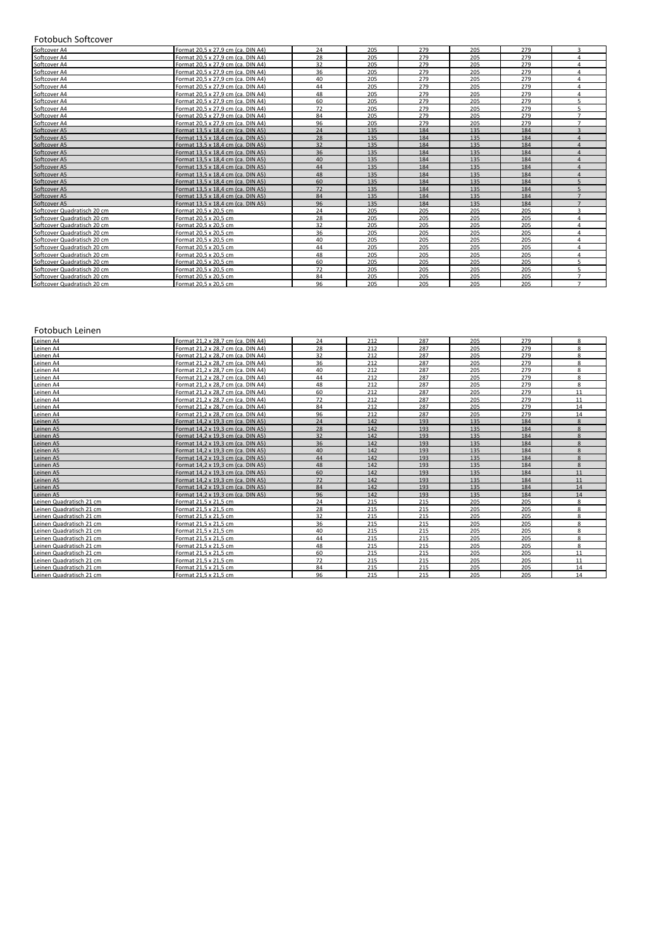## Fotobuch Softcover

| Softcover A4                | Format 20.5 x 27.9 cm (ca. DIN A4) | 24 | 205 | 279 | 205 | 279 | $\overline{\mathbf{a}}$ |
|-----------------------------|------------------------------------|----|-----|-----|-----|-----|-------------------------|
| Softcover A4                | Format 20.5 x 27.9 cm (ca. DIN A4) | 28 | 205 | 279 | 205 | 279 | $\Lambda$               |
| Softcover A4                | Format 20.5 x 27.9 cm (ca. DIN A4) | 32 | 205 | 279 | 205 | 279 | $\Lambda$               |
| Softcover A4                | Format 20.5 x 27.9 cm (ca. DIN A4) | 36 | 205 | 279 | 205 | 279 | $\Lambda$               |
| Softcover A4                | Format 20.5 x 27.9 cm (ca. DIN A4) | 40 | 205 | 279 | 205 | 279 | $\Lambda$               |
| Softcover A4                | Format 20,5 x 27,9 cm (ca. DIN A4) | 44 | 205 | 279 | 205 | 279 | 4                       |
| Softcover A4                | Format 20.5 x 27.9 cm (ca. DIN A4) | 48 | 205 | 279 | 205 | 279 | $\Lambda$               |
| Softcover A4                | Format 20.5 x 27.9 cm (ca. DIN A4) | 60 | 205 | 279 | 205 | 279 |                         |
| Softcover A4                | Format 20.5 x 27.9 cm (ca. DIN A4) | 72 | 205 | 279 | 205 | 279 |                         |
| Softcover A4                | Format 20.5 x 27.9 cm (ca. DIN A4) | 84 | 205 | 279 | 205 | 279 |                         |
| Softcover A4                | Format 20.5 x 27.9 cm (ca. DIN A4) | 96 | 205 | 279 | 205 | 279 | $\overline{ }$          |
| Softcover A5                | Format 13.5 x 18.4 cm (ca. DIN A5) | 24 | 135 | 184 | 135 | 184 | $\overline{a}$          |
| Softcover A5                | Format 13.5 x 18.4 cm (ca. DIN A5) | 28 | 135 | 184 | 135 | 184 |                         |
| Softcover A5                | Format 13.5 x 18.4 cm (ca. DIN A5) | 32 | 135 | 184 | 135 | 184 |                         |
| Softcover A5                | Format 13.5 x 18.4 cm (ca. DIN A5) | 36 | 135 | 184 | 135 | 184 | $\Lambda$               |
| Softcover A5                | Format 13,5 x 18,4 cm (ca. DIN A5) | 40 | 135 | 184 | 135 | 184 | $\Lambda$               |
| Softcover A5                | Format 13.5 x 18.4 cm (ca. DIN A5) | 44 | 135 | 184 | 135 | 184 |                         |
| Softcover A5                | Format 13.5 x 18.4 cm (ca. DIN A5) | 48 | 135 | 184 | 135 | 184 |                         |
| Softcover A5                | Format 13,5 x 18,4 cm (ca. DIN A5) | 60 | 135 | 184 | 135 | 184 |                         |
| Softcover A5                | Format 13.5 x 18.4 cm (ca. DIN A5) | 72 | 135 | 184 | 135 | 184 |                         |
| Softcover A5                | Format 13.5 x 18.4 cm (ca. DIN A5) | 84 | 135 | 184 | 135 | 184 |                         |
| Softcover A5                | Format 13.5 x 18.4 cm (ca. DIN A5) | 96 | 135 | 184 | 135 | 184 |                         |
| Softcover Quadratisch 20 cm | Format 20.5 x 20.5 cm              | 24 | 205 | 205 | 205 | 205 | $\overline{\mathbf{a}}$ |
| Softcover Quadratisch 20 cm | Format 20.5 x 20.5 cm              | 28 | 205 | 205 | 205 | 205 | $\lambda$               |
| Softcover Quadratisch 20 cm | Format 20.5 x 20.5 cm              | 32 | 205 | 205 | 205 | 205 |                         |
| Softcover Quadratisch 20 cm | Format 20.5 x 20.5 cm              | 36 | 205 | 205 | 205 | 205 | $\Lambda$               |
| Softcover Quadratisch 20 cm | Format 20,5 x 20,5 cm              | 40 | 205 | 205 | 205 | 205 | $\Lambda$               |
| Softcover Quadratisch 20 cm | Format 20.5 x 20.5 cm              | 44 | 205 | 205 | 205 | 205 | 4                       |
| Softcover Quadratisch 20 cm | Format 20,5 x 20,5 cm              | 48 | 205 | 205 | 205 | 205 | $\lambda$               |
| Softcover Quadratisch 20 cm | Format 20.5 x 20.5 cm              | 60 | 205 | 205 | 205 | 205 | $\mathbf{r}$            |
| Softcover Quadratisch 20 cm | Format 20.5 x 20.5 cm              | 72 | 205 | 205 | 205 | 205 |                         |
| Softcover Quadratisch 20 cm | Format 20.5 x 20.5 cm              | 84 | 205 | 205 | 205 | 205 | $\overline{7}$          |
| Softcover Quadratisch 20 cm | Format 20.5 x 20.5 cm              | 96 | 205 | 205 | 205 | 205 | $\overline{ }$          |

## Fotobuch Leinen

| Leinen A4                | Format 21.2 x 28.7 cm (ca. DIN A4) | 24 | 212 | 287 | 205 | 279 | 8            |
|--------------------------|------------------------------------|----|-----|-----|-----|-----|--------------|
| Leinen A4                | Format 21.2 x 28.7 cm (ca. DIN A4) | 28 | 212 | 287 | 205 | 279 | 8            |
| Leinen A4                | Format 21.2 x 28.7 cm (ca. DIN A4) | 32 | 212 | 287 | 205 | 279 | 8            |
| Leinen A4                | Format 21.2 x 28.7 cm (ca. DIN A4) | 36 | 212 | 287 | 205 | 279 | 8            |
| Leinen A4                | Format 21.2 x 28.7 cm (ca. DIN A4) | 40 | 212 | 287 | 205 | 279 | 8            |
| Leinen A4                | Format 21.2 x 28.7 cm (ca. DIN A4) | 44 | 212 | 287 | 205 | 279 | 8            |
| Leinen A4                | Format 21.2 x 28.7 cm (ca. DIN A4) | 48 | 212 | 287 | 205 | 279 | 8            |
| Leinen A4                | Format 21.2 x 28.7 cm (ca. DIN A4) | 60 | 212 | 287 | 205 | 279 | 11           |
| Leinen A4                | Format 21.2 x 28.7 cm (ca. DIN A4) | 72 | 212 | 287 | 205 | 279 | 11           |
| Leinen A4                | Format 21,2 x 28,7 cm (ca. DIN A4) | 84 | 212 | 287 | 205 | 279 | 14           |
| Leinen A4                | Format 21,2 x 28,7 cm (ca. DIN A4) | 96 | 212 | 287 | 205 | 279 | 14           |
| Leinen A5                | Format 14.2 x 19.3 cm (ca. DIN A5) | 24 | 142 | 193 | 135 | 184 | 8            |
| Leinen A5                | Format 14.2 x 19.3 cm (ca. DIN A5) | 28 | 142 | 193 | 135 | 184 | 8            |
| Leinen A5                | Format 14,2 x 19,3 cm (ca. DIN A5) | 32 | 142 | 193 | 135 | 184 | 8            |
| Leinen A5                | Format 14.2 x 19.3 cm (ca. DIN A5) | 36 | 142 | 193 | 135 | 184 | $\mathbf{8}$ |
| Leinen A5                | Format 14.2 x 19.3 cm (ca. DIN A5) | 40 | 142 | 193 | 135 | 184 | $\mathbf{8}$ |
| Leinen A5                | Format 14.2 x 19.3 cm (ca. DIN A5) | 44 | 142 | 193 | 135 | 184 | $\mathbf{8}$ |
| Leinen A5                | Format 14.2 x 19.3 cm (ca. DIN A5) | 48 | 142 | 193 | 135 | 184 | 8            |
| Leinen A5                | Format 14.2 x 19.3 cm (ca. DIN A5) | 60 | 142 | 193 | 135 | 184 | 11           |
| Leinen A5                | Format 14.2 x 19.3 cm (ca. DIN A5) | 72 | 142 | 193 | 135 | 184 | 11           |
| Leinen A5                | Format 14.2 x 19.3 cm (ca. DIN A5) | 84 | 142 | 193 | 135 | 184 | 14           |
| Leinen A5                | Format 14.2 x 19.3 cm (ca. DIN A5) | 96 | 142 | 193 | 135 | 184 | 14           |
| Leinen Quadratisch 21 cm | Format 21.5 x 21.5 cm              | 24 | 215 | 215 | 205 | 205 | 8            |
| Leinen Quadratisch 21 cm | Format 21,5 x 21,5 cm              | 28 | 215 | 215 | 205 | 205 | 8            |
| Leinen Quadratisch 21 cm | Format 21.5 x 21.5 cm              | 32 | 215 | 215 | 205 | 205 | $\mathbf{R}$ |
| Leinen Quadratisch 21 cm | Format 21.5 x 21.5 cm              | 36 | 215 | 215 | 205 | 205 | 8            |
| Leinen Quadratisch 21 cm | Format 21,5 x 21,5 cm              | 40 | 215 | 215 | 205 | 205 | 8            |
| Leinen Quadratisch 21 cm | Format 21.5 x 21.5 cm              | 44 | 215 | 215 | 205 | 205 | 8            |
| Leinen Quadratisch 21 cm | Format 21.5 x 21.5 cm              | 48 | 215 | 215 | 205 | 205 | 8            |
| Leinen Quadratisch 21 cm | Format 21,5 x 21,5 cm              | 60 | 215 | 215 | 205 | 205 | 11           |
| Leinen Quadratisch 21 cm | Format 21,5 x 21,5 cm              | 72 | 215 | 215 | 205 | 205 | 11           |
| Leinen Quadratisch 21 cm | Format 21.5 x 21.5 cm              | 84 | 215 | 215 | 205 | 205 | 14           |
| Leinen Quadratisch 21 cm | Format 21,5 x 21,5 cm              | 96 | 215 | 215 | 205 | 205 | 14           |